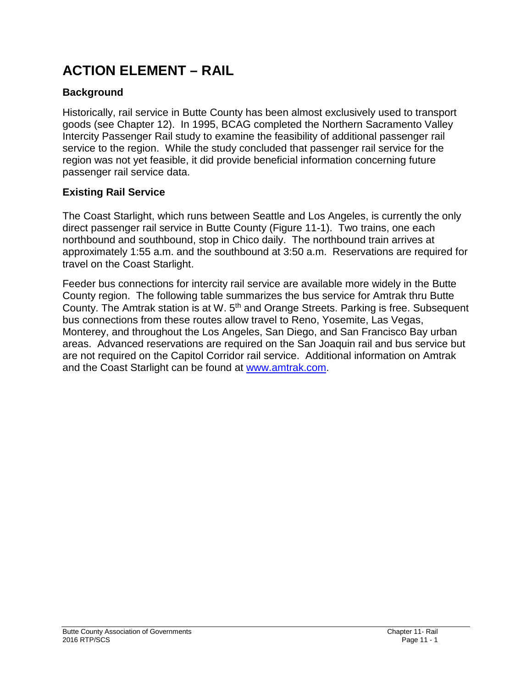# **ACTION ELEMENT – RAIL**

## **Background**

Historically, rail service in Butte County has been almost exclusively used to transport goods (see Chapter 12). In 1995, BCAG completed the Northern Sacramento Valley Intercity Passenger Rail study to examine the feasibility of additional passenger rail service to the region. While the study concluded that passenger rail service for the region was not yet feasible, it did provide beneficial information concerning future passenger rail service data.

### **Existing Rail Service**

The Coast Starlight, which runs between Seattle and Los Angeles, is currently the only direct passenger rail service in Butte County (Figure 11-1). Two trains, one each northbound and southbound, stop in Chico daily. The northbound train arrives at approximately 1:55 a.m. and the southbound at 3:50 a.m. Reservations are required for travel on the Coast Starlight.

Feeder bus connections for intercity rail service are available more widely in the Butte County region. The following table summarizes the bus service for Amtrak thru Butte County. The Amtrak station is at W. 5<sup>th</sup> and Orange Streets. Parking is free. Subsequent bus connections from these routes allow travel to Reno, Yosemite, Las Vegas, Monterey, and throughout the Los Angeles, San Diego, and San Francisco Bay urban areas. Advanced reservations are required on the San Joaquin rail and bus service but are not required on the Capitol Corridor rail service. Additional information on Amtrak and the Coast Starlight can be found at [www.amtrak.com.](http://www.amtrak.com/)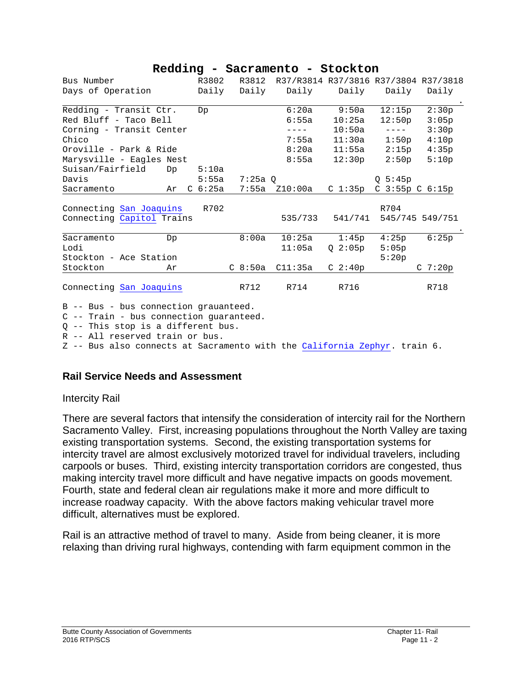#### **Redding - Sacramento - Stockton**

| Bus Number                | R3802               | R3812     | R37/R3814 R37/3816 R37/3804 R37/3818 |                     |                                                                                                                                                                                                                                                                                                                                                                                              |                     |
|---------------------------|---------------------|-----------|--------------------------------------|---------------------|----------------------------------------------------------------------------------------------------------------------------------------------------------------------------------------------------------------------------------------------------------------------------------------------------------------------------------------------------------------------------------------------|---------------------|
| Days of Operation         | Daily               | Daily     | Daily                                | Daily               | Daily                                                                                                                                                                                                                                                                                                                                                                                        | Daily               |
| Redding - Transit Ctr.    | Dp                  |           | 6:20a                                | 9:50a               | 12:15p                                                                                                                                                                                                                                                                                                                                                                                       | 2:30p               |
| Red Bluff - Taco Bell     |                     |           | 6:55a                                | 10:25a              | 12:50p                                                                                                                                                                                                                                                                                                                                                                                       | 3:05p               |
| Corning - Transit Center  |                     |           | $- - - -$                            | 10:50a              | $\frac{1}{2} \frac{1}{2} \frac{1}{2} \frac{1}{2} \frac{1}{2} \frac{1}{2} \frac{1}{2} \frac{1}{2} \frac{1}{2} \frac{1}{2} \frac{1}{2} \frac{1}{2} \frac{1}{2} \frac{1}{2} \frac{1}{2} \frac{1}{2} \frac{1}{2} \frac{1}{2} \frac{1}{2} \frac{1}{2} \frac{1}{2} \frac{1}{2} \frac{1}{2} \frac{1}{2} \frac{1}{2} \frac{1}{2} \frac{1}{2} \frac{1}{2} \frac{1}{2} \frac{1}{2} \frac{1}{2} \frac{$ | 3:30p               |
| Chico                     |                     |           | 7:55a                                | 11:30a              | 1:50p                                                                                                                                                                                                                                                                                                                                                                                        | 4:10p               |
| Oroville - Park & Ride    |                     |           | 8:20a                                | 11:55a              | 2:15p                                                                                                                                                                                                                                                                                                                                                                                        | 4:35p               |
| Marysville - Eagles Nest  |                     |           | 8:55a                                | 12:30p              | 2:50p                                                                                                                                                                                                                                                                                                                                                                                        | 5:10p               |
| Suisan/Fairfield<br>Dp    | 5:10a               |           |                                      |                     |                                                                                                                                                                                                                                                                                                                                                                                              |                     |
| Davis                     | 5:55a               | $7:25a$ O |                                      |                     | Q 5:45p                                                                                                                                                                                                                                                                                                                                                                                      |                     |
| Sacramento<br>Ar          | C <sub>6</sub> :25a | 7:55a     | Z10:00a                              | $C_1:35p$           | C 3:55p C 6:15p                                                                                                                                                                                                                                                                                                                                                                              |                     |
|                           |                     |           |                                      |                     |                                                                                                                                                                                                                                                                                                                                                                                              |                     |
| Connecting San Joaquins   | R702                |           |                                      |                     | R704                                                                                                                                                                                                                                                                                                                                                                                         |                     |
| Connecting Capitol Trains |                     |           | 535/733                              | 541/741             |                                                                                                                                                                                                                                                                                                                                                                                              | 545/745 549/751     |
| Sacramento<br>Dp          |                     | 8:00a     | 10:25a                               | 1:45p               | 4:25p                                                                                                                                                                                                                                                                                                                                                                                        | 6:25p               |
| Lodi                      |                     |           | 11:05a                               | $Q_{2}:05p$         | 5:05p                                                                                                                                                                                                                                                                                                                                                                                        |                     |
| Stockton - Ace Station    |                     |           |                                      |                     | 5:20p                                                                                                                                                                                                                                                                                                                                                                                        |                     |
| Stockton<br>Ar            |                     | $C_8:50a$ | C11:35a                              | C <sub>2</sub> :40p |                                                                                                                                                                                                                                                                                                                                                                                              | C <sub>7</sub> :20p |
| Connecting San Joaquins   |                     | R712      | R714                                 | R716                |                                                                                                                                                                                                                                                                                                                                                                                              | R718                |

B -- Bus - bus connection grauanteed.

C -- Train - bus connection guaranteed.

Q -- This stop is a different bus.

R -- All reserved train or bus.

Z -- Bus also connects at Sacramento with the [California Zephyr.](http://www.cwrr.com/Amtrak/w_zephyr.html) train 6.

#### **Rail Service Needs and Assessment**

#### Intercity Rail

There are several factors that intensify the consideration of intercity rail for the Northern Sacramento Valley. First, increasing populations throughout the North Valley are taxing existing transportation systems. Second, the existing transportation systems for intercity travel are almost exclusively motorized travel for individual travelers, including carpools or buses. Third, existing intercity transportation corridors are congested, thus making intercity travel more difficult and have negative impacts on goods movement. Fourth, state and federal clean air regulations make it more and more difficult to increase roadway capacity. With the above factors making vehicular travel more difficult, alternatives must be explored.

Rail is an attractive method of travel to many. Aside from being cleaner, it is more relaxing than driving rural highways, contending with farm equipment common in the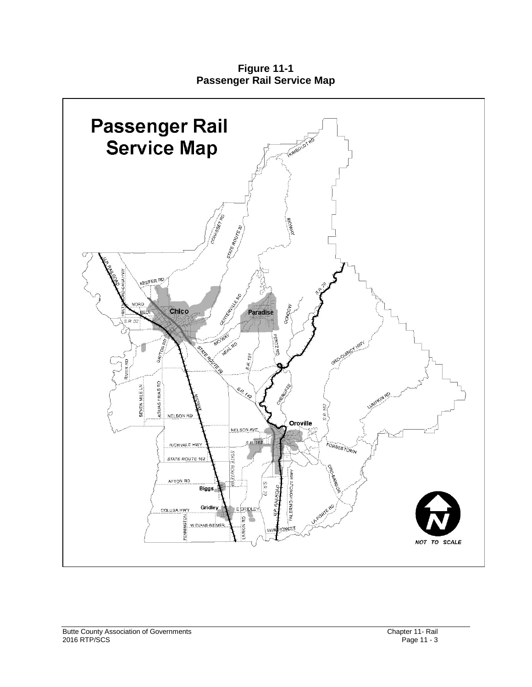**Figure 11-1 Passenger Rail Service Map**

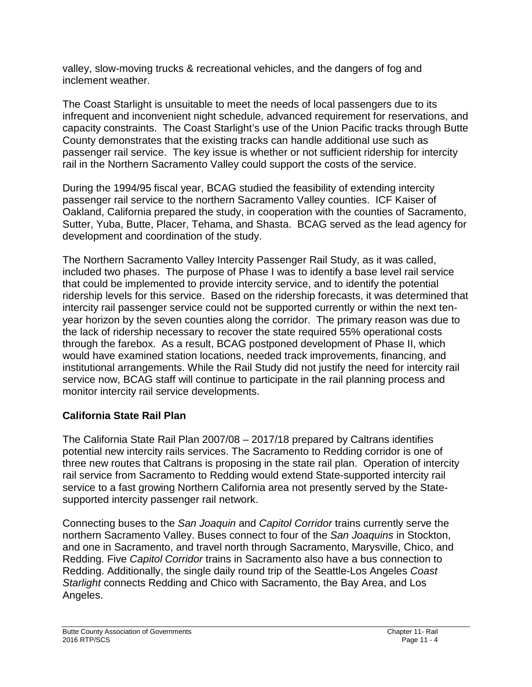valley, slow-moving trucks & recreational vehicles, and the dangers of fog and inclement weather.

The Coast Starlight is unsuitable to meet the needs of local passengers due to its infrequent and inconvenient night schedule, advanced requirement for reservations, and capacity constraints. The Coast Starlight's use of the Union Pacific tracks through Butte County demonstrates that the existing tracks can handle additional use such as passenger rail service. The key issue is whether or not sufficient ridership for intercity rail in the Northern Sacramento Valley could support the costs of the service.

During the 1994/95 fiscal year, BCAG studied the feasibility of extending intercity passenger rail service to the northern Sacramento Valley counties. ICF Kaiser of Oakland, California prepared the study, in cooperation with the counties of Sacramento, Sutter, Yuba, Butte, Placer, Tehama, and Shasta. BCAG served as the lead agency for development and coordination of the study.

The Northern Sacramento Valley Intercity Passenger Rail Study, as it was called, included two phases. The purpose of Phase I was to identify a base level rail service that could be implemented to provide intercity service, and to identify the potential ridership levels for this service. Based on the ridership forecasts, it was determined that intercity rail passenger service could not be supported currently or within the next tenyear horizon by the seven counties along the corridor. The primary reason was due to the lack of ridership necessary to recover the state required 55% operational costs through the farebox. As a result, BCAG postponed development of Phase II, which would have examined station locations, needed track improvements, financing, and institutional arrangements. While the Rail Study did not justify the need for intercity rail service now, BCAG staff will continue to participate in the rail planning process and monitor intercity rail service developments.

# **California State Rail Plan**

The California State Rail Plan 2007/08 – 2017/18 prepared by Caltrans identifies potential new intercity rails services. The Sacramento to Redding corridor is one of three new routes that Caltrans is proposing in the state rail plan. Operation of intercity rail service from Sacramento to Redding would extend State-supported intercity rail service to a fast growing Northern California area not presently served by the Statesupported intercity passenger rail network.

Connecting buses to the *San Joaquin* and *Capitol Corridor* trains currently serve the northern Sacramento Valley. Buses connect to four of the *San Joaquins* in Stockton, and one in Sacramento, and travel north through Sacramento, Marysville, Chico, and Redding. Five *Capitol Corridor* trains in Sacramento also have a bus connection to Redding. Additionally, the single daily round trip of the Seattle-Los Angeles *Coast Starlight* connects Redding and Chico with Sacramento, the Bay Area, and Los Angeles.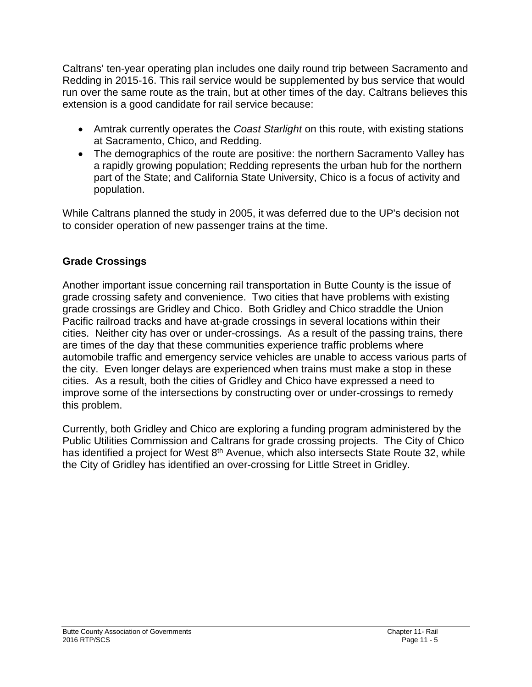Caltrans' ten-year operating plan includes one daily round trip between Sacramento and Redding in 2015-16. This rail service would be supplemented by bus service that would run over the same route as the train, but at other times of the day. Caltrans believes this extension is a good candidate for rail service because:

- Amtrak currently operates the *Coast Starlight* on this route, with existing stations at Sacramento, Chico, and Redding.
- The demographics of the route are positive: the northern Sacramento Valley has a rapidly growing population; Redding represents the urban hub for the northern part of the State; and California State University, Chico is a focus of activity and population.

While Caltrans planned the study in 2005, it was deferred due to the UP's decision not to consider operation of new passenger trains at the time.

# **Grade Crossings**

Another important issue concerning rail transportation in Butte County is the issue of grade crossing safety and convenience. Two cities that have problems with existing grade crossings are Gridley and Chico. Both Gridley and Chico straddle the Union Pacific railroad tracks and have at-grade crossings in several locations within their cities. Neither city has over or under-crossings. As a result of the passing trains, there are times of the day that these communities experience traffic problems where automobile traffic and emergency service vehicles are unable to access various parts of the city. Even longer delays are experienced when trains must make a stop in these cities. As a result, both the cities of Gridley and Chico have expressed a need to improve some of the intersections by constructing over or under-crossings to remedy this problem.

Currently, both Gridley and Chico are exploring a funding program administered by the Public Utilities Commission and Caltrans for grade crossing projects. The City of Chico has identified a project for West 8<sup>th</sup> Avenue, which also intersects State Route 32, while the City of Gridley has identified an over-crossing for Little Street in Gridley.